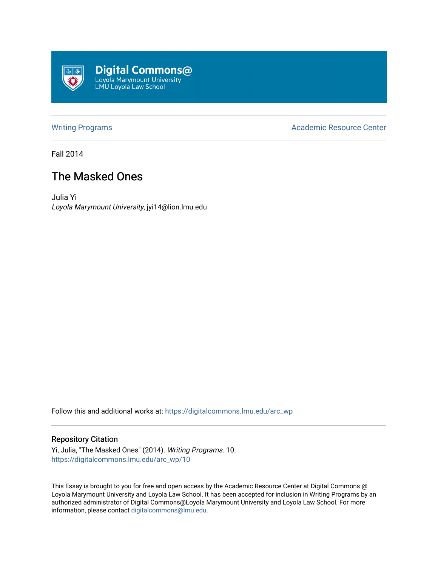

[Writing Programs](https://digitalcommons.lmu.edu/arc_wp) **Academic Resource Center** Academic Resource Center

Fall 2014

## The Masked Ones

Julia Yi Loyola Marymount University, jyi14@lion.lmu.edu

Follow this and additional works at: [https://digitalcommons.lmu.edu/arc\\_wp](https://digitalcommons.lmu.edu/arc_wp?utm_source=digitalcommons.lmu.edu%2Farc_wp%2F10&utm_medium=PDF&utm_campaign=PDFCoverPages)

## Repository Citation

Yi, Julia, "The Masked Ones" (2014). Writing Programs. 10. [https://digitalcommons.lmu.edu/arc\\_wp/10](https://digitalcommons.lmu.edu/arc_wp/10?utm_source=digitalcommons.lmu.edu%2Farc_wp%2F10&utm_medium=PDF&utm_campaign=PDFCoverPages) 

This Essay is brought to you for free and open access by the Academic Resource Center at Digital Commons @ Loyola Marymount University and Loyola Law School. It has been accepted for inclusion in Writing Programs by an authorized administrator of Digital Commons@Loyola Marymount University and Loyola Law School. For more information, please contact [digitalcommons@lmu.edu.](mailto:digitalcommons@lmu.edu)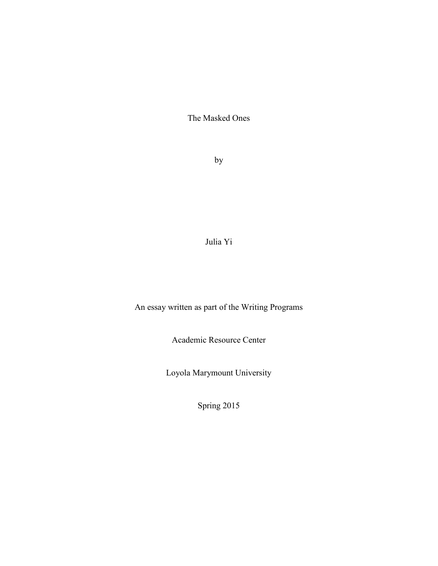The Masked Ones

by

Julia Yi

An essay written as part of the Writing Programs

Academic Resource Center

Loyola Marymount University

Spring 2015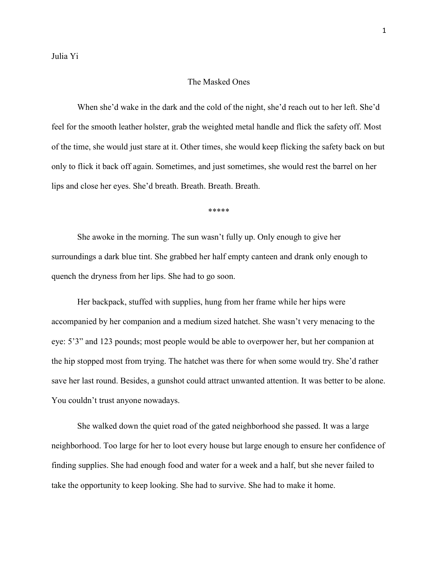## The Masked Ones

When she'd wake in the dark and the cold of the night, she'd reach out to her left. She'd feel for the smooth leather holster, grab the weighted metal handle and flick the safety off. Most of the time, she would just stare at it. Other times, she would keep flicking the safety back on but only to flick it back off again. Sometimes, and just sometimes, she would rest the barrel on her lips and close her eyes. She'd breath. Breath. Breath. Breath.

\*\*\*\*\*

She awoke in the morning. The sun wasn't fully up. Only enough to give her surroundings a dark blue tint. She grabbed her half empty canteen and drank only enough to quench the dryness from her lips. She had to go soon.

Her backpack, stuffed with supplies, hung from her frame while her hips were accompanied by her companion and a medium sized hatchet. She wasn't very menacing to the eye: 5'3" and 123 pounds; most people would be able to overpower her, but her companion at the hip stopped most from trying. The hatchet was there for when some would try. She'd rather save her last round. Besides, a gunshot could attract unwanted attention. It was better to be alone. You couldn't trust anyone nowadays.

She walked down the quiet road of the gated neighborhood she passed. It was a large neighborhood. Too large for her to loot every house but large enough to ensure her confidence of finding supplies. She had enough food and water for a week and a half, but she never failed to take the opportunity to keep looking. She had to survive. She had to make it home.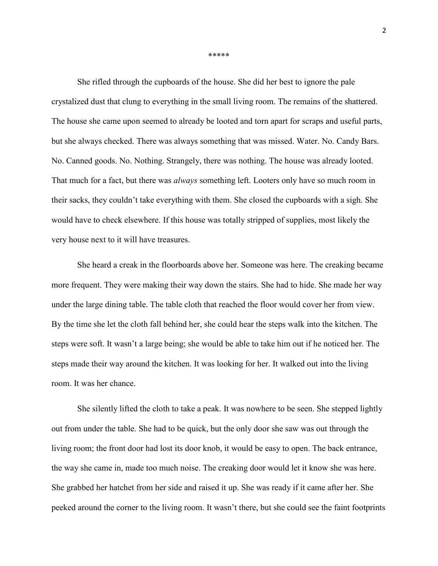\*\*\*\*\*

She rifled through the cupboards of the house. She did her best to ignore the pale crystalized dust that clung to everything in the small living room. The remains of the shattered. The house she came upon seemed to already be looted and torn apart for scraps and useful parts, but she always checked. There was always something that was missed. Water. No. Candy Bars. No. Canned goods. No. Nothing. Strangely, there was nothing. The house was already looted. That much for a fact, but there was *always* something left. Looters only have so much room in their sacks, they couldn't take everything with them. She closed the cupboards with a sigh. She would have to check elsewhere. If this house was totally stripped of supplies, most likely the very house next to it will have treasures.

She heard a creak in the floorboards above her. Someone was here. The creaking became more frequent. They were making their way down the stairs. She had to hide. She made her way under the large dining table. The table cloth that reached the floor would cover her from view. By the time she let the cloth fall behind her, she could hear the steps walk into the kitchen. The steps were soft. It wasn't a large being; she would be able to take him out if he noticed her. The steps made their way around the kitchen. It was looking for her. It walked out into the living room. It was her chance.

She silently lifted the cloth to take a peak. It was nowhere to be seen. She stepped lightly out from under the table. She had to be quick, but the only door she saw was out through the living room; the front door had lost its door knob, it would be easy to open. The back entrance, the way she came in, made too much noise. The creaking door would let it know she was here. She grabbed her hatchet from her side and raised it up. She was ready if it came after her. She peeked around the corner to the living room. It wasn't there, but she could see the faint footprints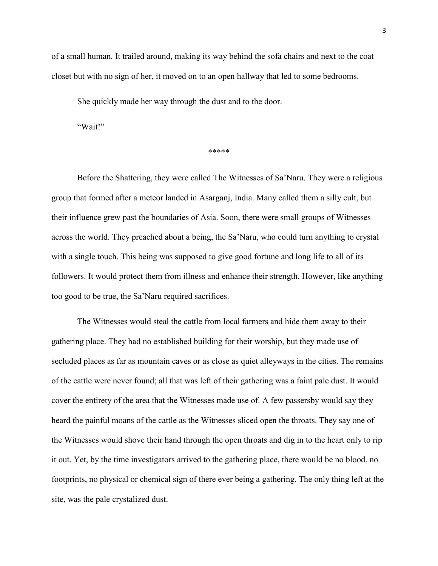of a small human. It trailed around, making its way behind the sofa chairs and next to the coat closet but with no sign of her, it moved on to an open hallway that led to some bedrooms.

She quickly made her way through the dust and to the door.

"Wait!"

\*\*\*\*\*

Before the Shattering, they were called The Witnesses of Sa'Naru. They were a religious group that formed after a meteor landed in Asarganj, India. Many called them a silly cult, but their influence grew past the boundaries of Asia. Soon, there were small groups of Witnesses across the world. They preached about a being, the Sa'Naru, who could turn anything to crystal with a single touch. This being was supposed to give good fortune and long life to all of its followers. It would protect them from illness and enhance their strength. However, like anything too good to be true, the Sa'Naru required sacrifices.

The Witnesses would steal the cattle from local farmers and hide them away to their gathering place. They had no established building for their worship, but they made use of secluded places as far as mountain caves or as close as quiet alleyways in the cities. The remains of the cattle were never found; all that was left of their gathering was a faint pale dust. It would cover the entirety of the area that the Witnesses made use of. A few passersby would say they heard the painful moans of the cattle as the Witnesses sliced open the throats. They say one of the Witnesses would shove their hand through the open throats and dig in to the heart only to rip it out. Yet, by the time investigators arrived to the gathering place, there would be no blood, no footprints, no physical or chemical sign of there ever being a gathering. The only thing left at the site, was the pale crystalized dust.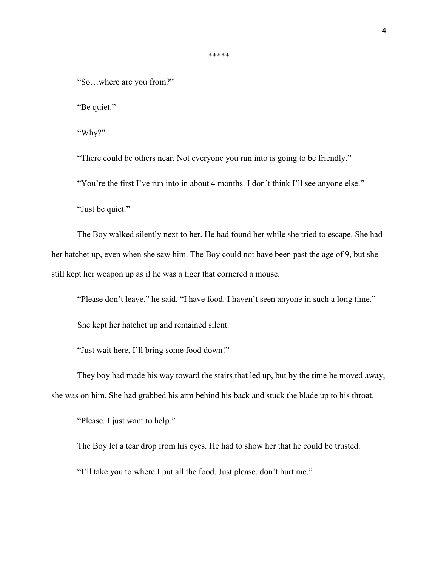"So…where are you from?"

"Be quiet."

"Why?"

"There could be others near. Not everyone you run into is going to be friendly."

\*\*\*\*\*

"You're the first I've run into in about 4 months. I don't think I'll see anyone else."

"Just be quiet."

The Boy walked silently next to her. He had found her while she tried to escape. She had her hatchet up, even when she saw him. The Boy could not have been past the age of 9, but she still kept her weapon up as if he was a tiger that cornered a mouse.

"Please don't leave," he said. "I have food. I haven't seen anyone in such a long time."

She kept her hatchet up and remained silent.

"Just wait here, I'll bring some food down!"

They boy had made his way toward the stairs that led up, but by the time he moved away, she was on him. She had grabbed his arm behind his back and stuck the blade up to his throat.

"Please. I just want to help."

The Boy let a tear drop from his eyes. He had to show her that he could be trusted.

"I'll take you to where I put all the food. Just please, don't hurt me."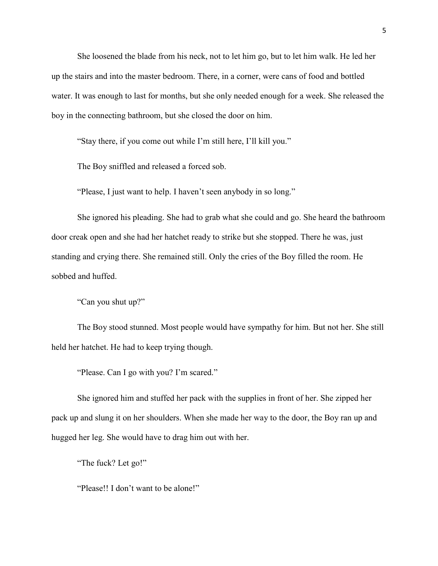She loosened the blade from his neck, not to let him go, but to let him walk. He led her up the stairs and into the master bedroom. There, in a corner, were cans of food and bottled water. It was enough to last for months, but she only needed enough for a week. She released the boy in the connecting bathroom, but she closed the door on him.

"Stay there, if you come out while I'm still here, I'll kill you."

The Boy sniffled and released a forced sob.

"Please, I just want to help. I haven't seen anybody in so long."

She ignored his pleading. She had to grab what she could and go. She heard the bathroom door creak open and she had her hatchet ready to strike but she stopped. There he was, just standing and crying there. She remained still. Only the cries of the Boy filled the room. He sobbed and huffed.

"Can you shut up?"

The Boy stood stunned. Most people would have sympathy for him. But not her. She still held her hatchet. He had to keep trying though.

"Please. Can I go with you? I'm scared."

She ignored him and stuffed her pack with the supplies in front of her. She zipped her pack up and slung it on her shoulders. When she made her way to the door, the Boy ran up and hugged her leg. She would have to drag him out with her.

"The fuck? Let go!"

"Please!! I don't want to be alone!"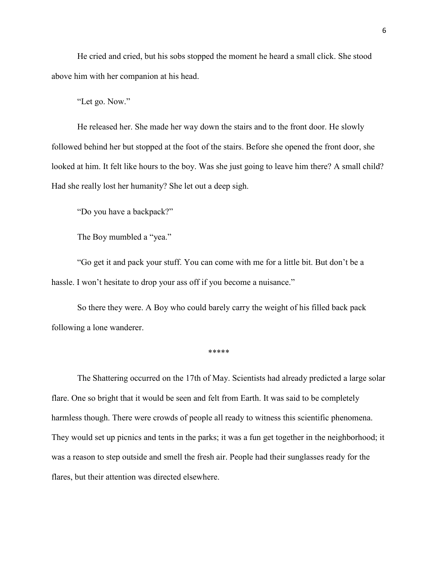He cried and cried, but his sobs stopped the moment he heard a small click. She stood above him with her companion at his head.

"Let go. Now."

He released her. She made her way down the stairs and to the front door. He slowly followed behind her but stopped at the foot of the stairs. Before she opened the front door, she looked at him. It felt like hours to the boy. Was she just going to leave him there? A small child? Had she really lost her humanity? She let out a deep sigh.

"Do you have a backpack?"

The Boy mumbled a "yea."

"Go get it and pack your stuff. You can come with me for a little bit. But don't be a hassle. I won't hesitate to drop your ass off if you become a nuisance."

So there they were. A Boy who could barely carry the weight of his filled back pack following a lone wanderer.

\*\*\*\*\*

The Shattering occurred on the 17th of May. Scientists had already predicted a large solar flare. One so bright that it would be seen and felt from Earth. It was said to be completely harmless though. There were crowds of people all ready to witness this scientific phenomena. They would set up picnics and tents in the parks; it was a fun get together in the neighborhood; it was a reason to step outside and smell the fresh air. People had their sunglasses ready for the flares, but their attention was directed elsewhere.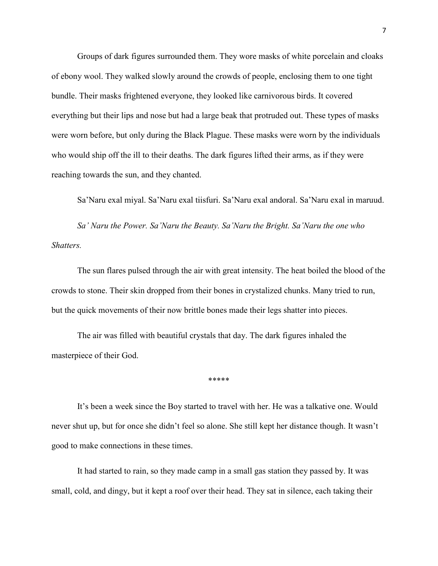Groups of dark figures surrounded them. They wore masks of white porcelain and cloaks of ebony wool. They walked slowly around the crowds of people, enclosing them to one tight bundle. Their masks frightened everyone, they looked like carnivorous birds. It covered everything but their lips and nose but had a large beak that protruded out. These types of masks were worn before, but only during the Black Plague. These masks were worn by the individuals who would ship off the ill to their deaths. The dark figures lifted their arms, as if they were reaching towards the sun, and they chanted.

Sa'Naru exal miyal. Sa'Naru exal tiisfuri. Sa'Naru exal andoral. Sa'Naru exal in maruud.

*Sa' Naru the Power. Sa'Naru the Beauty. Sa'Naru the Bright. Sa'Naru the one who Shatters.*

The sun flares pulsed through the air with great intensity. The heat boiled the blood of the crowds to stone. Their skin dropped from their bones in crystalized chunks. Many tried to run, but the quick movements of their now brittle bones made their legs shatter into pieces.

The air was filled with beautiful crystals that day. The dark figures inhaled the masterpiece of their God.

\*\*\*\*\*

It's been a week since the Boy started to travel with her. He was a talkative one. Would never shut up, but for once she didn't feel so alone. She still kept her distance though. It wasn't good to make connections in these times.

It had started to rain, so they made camp in a small gas station they passed by. It was small, cold, and dingy, but it kept a roof over their head. They sat in silence, each taking their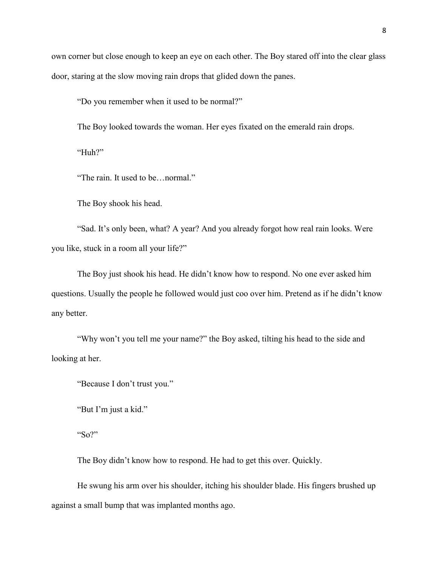own corner but close enough to keep an eye on each other. The Boy stared off into the clear glass door, staring at the slow moving rain drops that glided down the panes.

"Do you remember when it used to be normal?"

The Boy looked towards the woman. Her eyes fixated on the emerald rain drops.

"Huh?"

"The rain. It used to be…normal."

The Boy shook his head.

"Sad. It's only been, what? A year? And you already forgot how real rain looks. Were you like, stuck in a room all your life?"

The Boy just shook his head. He didn't know how to respond. No one ever asked him questions. Usually the people he followed would just coo over him. Pretend as if he didn't know any better.

"Why won't you tell me your name?" the Boy asked, tilting his head to the side and looking at her.

"Because I don't trust you."

"But I'm just a kid."

" $S_0$ ?"

The Boy didn't know how to respond. He had to get this over. Quickly.

He swung his arm over his shoulder, itching his shoulder blade. His fingers brushed up against a small bump that was implanted months ago.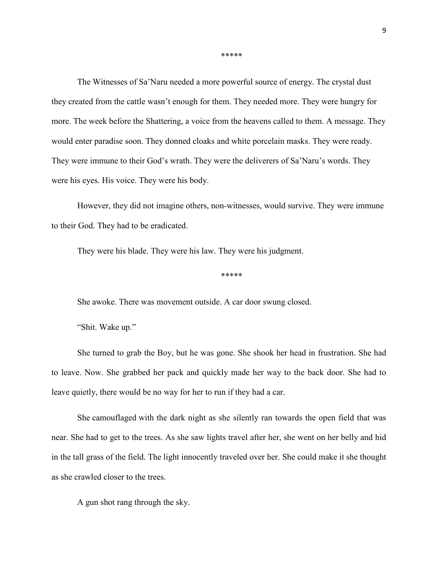\*\*\*\*\*

The Witnesses of Sa'Naru needed a more powerful source of energy. The crystal dust they created from the cattle wasn't enough for them. They needed more. They were hungry for more. The week before the Shattering, a voice from the heavens called to them. A message. They would enter paradise soon. They donned cloaks and white porcelain masks. They were ready. They were immune to their God's wrath. They were the deliverers of Sa'Naru's words. They were his eyes. His voice. They were his body.

However, they did not imagine others, non-witnesses, would survive. They were immune to their God. They had to be eradicated.

They were his blade. They were his law. They were his judgment.

\*\*\*\*\*

She awoke. There was movement outside. A car door swung closed.

"Shit. Wake up."

She turned to grab the Boy, but he was gone. She shook her head in frustration. She had to leave. Now. She grabbed her pack and quickly made her way to the back door. She had to leave quietly, there would be no way for her to run if they had a car.

She camouflaged with the dark night as she silently ran towards the open field that was near. She had to get to the trees. As she saw lights travel after her, she went on her belly and hid in the tall grass of the field. The light innocently traveled over her. She could make it she thought as she crawled closer to the trees.

A gun shot rang through the sky.